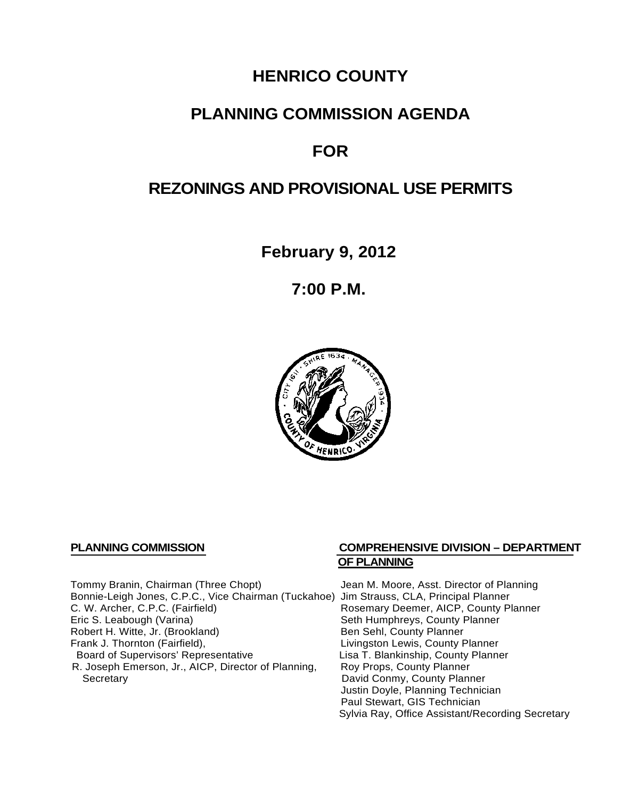# **HENRICO COUNTY**

## **PLANNING COMMISSION AGENDA**

# **FOR**

## **REZONINGS AND PROVISIONAL USE PERMITS**

**February 9, 2012**

**7:00 P.M.**



Tommy Branin, Chairman (Three Chopt) Jean M. Moore, Asst. Director of Planning Bonnie-Leigh Jones, C.P.C., Vice Chairman (Tuckahoe) Jim Strauss, CLA, Principal Planner C. W. Archer, C.P.C. (Fairfield) Rosemary Deemer, AICP, County Planner<br>
Eric S. Leabough (Varina) Seth Humphreys, County Planner Robert H. Witte, Jr. (Brookland)<br>Frank J. Thornton (Fairfield), Board of Supervisors' Representative Lisa T. Blankinship, County<br>R. Joseph Emerson, Jr., AICP, Director of Planning, Roy Props, County Planner R. Joseph Emerson, Jr., AICP, Director of Planning, Secretary

#### **PLANNING COMMISSION COMPREHENSIVE DIVISION – DEPARTMENT OF PLANNING**

Seth Humphreys, County Planner<br>Ben Sehl, County Planner Livingston Lewis, County Planner<br>Lisa T. Blankinship, County Planner David Conmy, County Planner Justin Doyle, Planning Technician Paul Stewart, GIS Technician Sylvia Ray, Office Assistant/Recording Secretary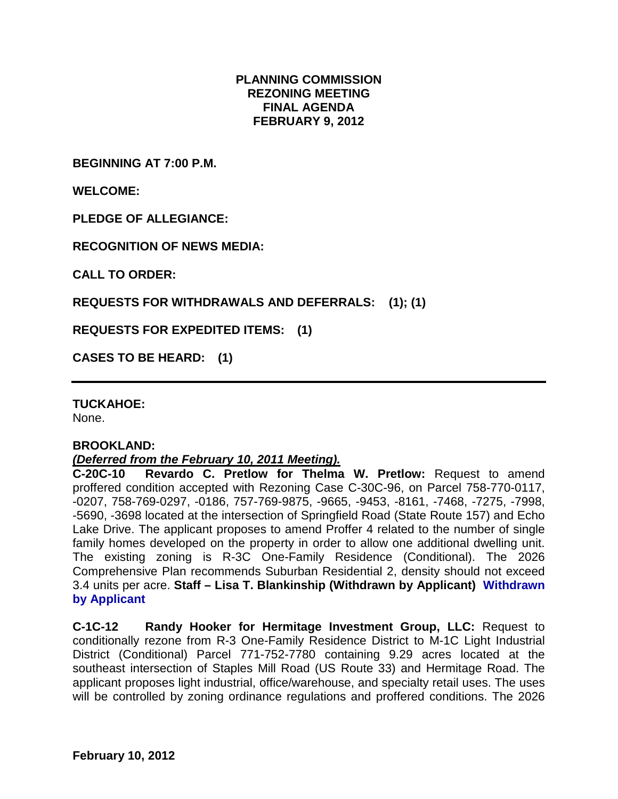#### **PLANNING COMMISSION REZONING MEETING FINAL AGENDA FEBRUARY 9, 2012**

**BEGINNING AT 7:00 P.M.**

**WELCOME:**

**PLEDGE OF ALLEGIANCE:**

**RECOGNITION OF NEWS MEDIA:**

**CALL TO ORDER:**

**REQUESTS FOR WITHDRAWALS AND DEFERRALS: (1); (1)**

**REQUESTS FOR EXPEDITED ITEMS: (1)**

**CASES TO BE HEARD: (1)**

**TUCKAHOE:**

None.

#### **BROOKLAND:**

#### *(Deferred from the February 10, 2011 Meeting).*

**C-20C-10 Revardo C. Pretlow for Thelma W. Pretlow:** Request to amend proffered condition accepted with Rezoning Case C-30C-96, on Parcel 758-770-0117, -0207, 758-769-0297, -0186, 757-769-9875, -9665, -9453, -8161, -7468, -7275, -7998, -5690, -3698 located at the intersection of Springfield Road (State Route 157) and Echo Lake Drive. The applicant proposes to amend Proffer 4 related to the number of single family homes developed on the property in order to allow one additional dwelling unit. The existing zoning is R-3C One-Family Residence (Conditional). The 2026 Comprehensive Plan recommends Suburban Residential 2, density should not exceed 3.4 units per acre. **Staff – Lisa T. Blankinship (Withdrawn by Applicant) Withdrawn by Applicant**

**C-1C-12 Randy Hooker for Hermitage Investment Group, LLC:** Request to conditionally rezone from R-3 One-Family Residence District to M-1C Light Industrial District (Conditional) Parcel 771-752-7780 containing 9.29 acres located at the southeast intersection of Staples Mill Road (US Route 33) and Hermitage Road. The applicant proposes light industrial, office/warehouse, and specialty retail uses. The uses will be controlled by zoning ordinance regulations and proffered conditions. The 2026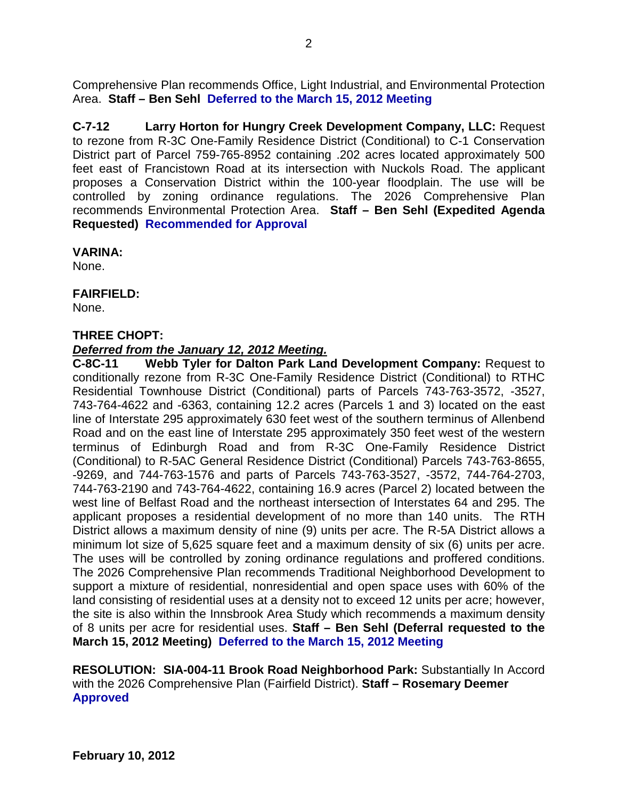Comprehensive Plan recommends Office, Light Industrial, and Environmental Protection Area. **Staff – Ben Sehl Deferred to the March 15, 2012 Meeting**

**C-7-12 Larry Horton for Hungry Creek Development Company, LLC:** Request to rezone from R-3C One-Family Residence District (Conditional) to C-1 Conservation District part of Parcel 759-765-8952 containing .202 acres located approximately 500 feet east of Francistown Road at its intersection with Nuckols Road. The applicant proposes a Conservation District within the 100-year floodplain. The use will be controlled by zoning ordinance regulations. The 2026 Comprehensive Plan recommends Environmental Protection Area. **Staff – Ben Sehl (Expedited Agenda Requested) Recommended for Approval**

#### **VARINA:**

None.

### **FAIRFIELD:**

None.

#### **THREE CHOPT:**

#### *Deferred from the January 12, 2012 Meeting.*

**C-8C-11 Webb Tyler for Dalton Park Land Development Company:** Request to conditionally rezone from R-3C One-Family Residence District (Conditional) to RTHC Residential Townhouse District (Conditional) parts of Parcels 743-763-3572, -3527, 743-764-4622 and -6363, containing 12.2 acres (Parcels 1 and 3) located on the east line of Interstate 295 approximately 630 feet west of the southern terminus of Allenbend Road and on the east line of Interstate 295 approximately 350 feet west of the western terminus of Edinburgh Road and from R-3C One-Family Residence District (Conditional) to R-5AC General Residence District (Conditional) Parcels 743-763-8655, -9269, and 744-763-1576 and parts of Parcels 743-763-3527, -3572, 744-764-2703, 744-763-2190 and 743-764-4622, containing 16.9 acres (Parcel 2) located between the west line of Belfast Road and the northeast intersection of Interstates 64 and 295. The applicant proposes a residential development of no more than 140 units. The RTH District allows a maximum density of nine (9) units per acre. The R-5A District allows a minimum lot size of 5,625 square feet and a maximum density of six (6) units per acre. The uses will be controlled by zoning ordinance regulations and proffered conditions. The 2026 Comprehensive Plan recommends Traditional Neighborhood Development to support a mixture of residential, nonresidential and open space uses with 60% of the land consisting of residential uses at a density not to exceed 12 units per acre; however, the site is also within the Innsbrook Area Study which recommends a maximum density of 8 units per acre for residential uses. **Staff – Ben Sehl (Deferral requested to the March 15, 2012 Meeting) Deferred to the March 15, 2012 Meeting**

**RESOLUTION: SIA-004-11 Brook Road Neighborhood Park:** Substantially In Accord with the 2026 Comprehensive Plan (Fairfield District). **Staff – Rosemary Deemer Approved**